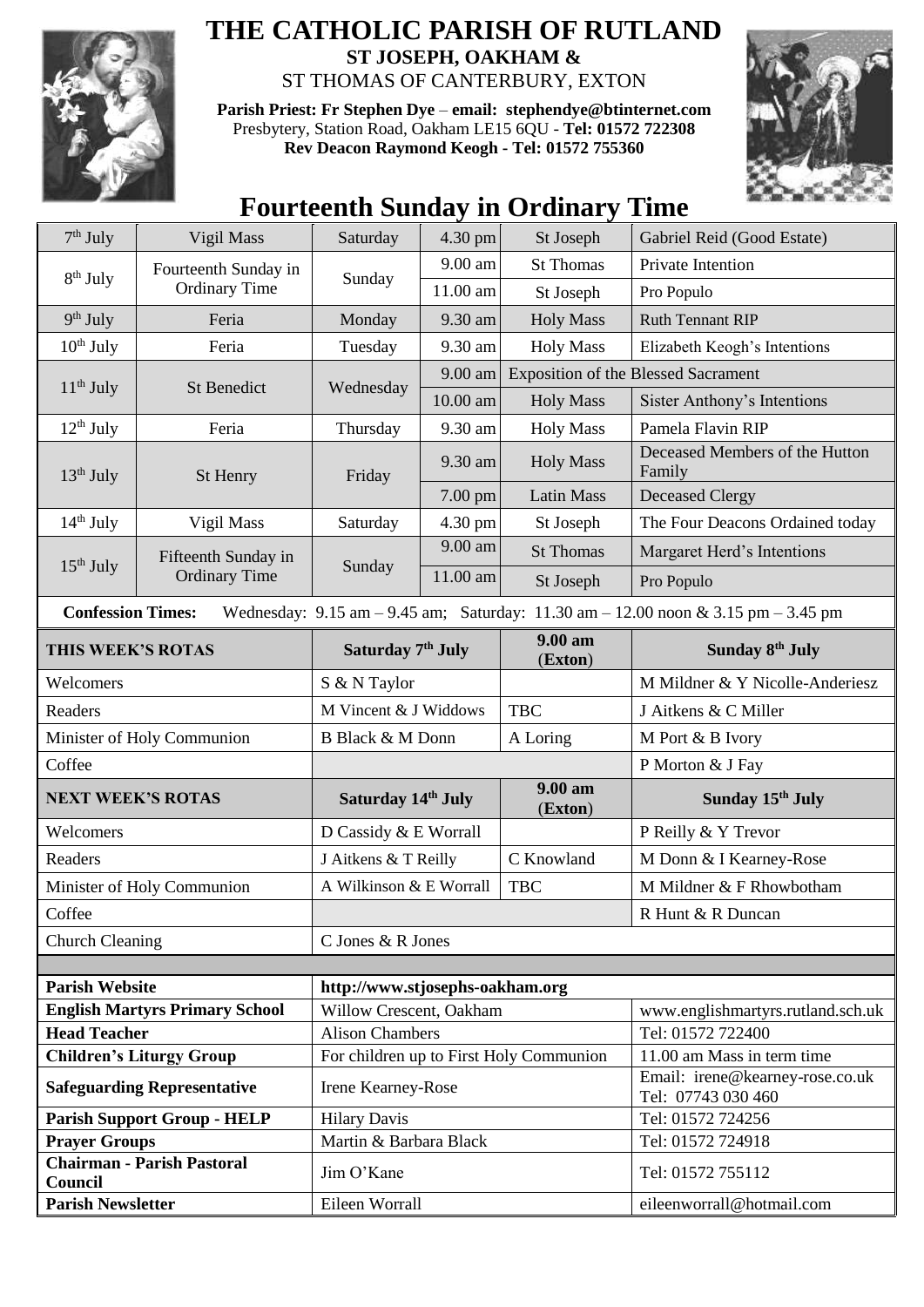

## **THE CATHOLIC PARISH OF RUTLAND ST JOSEPH, OAKHAM &**  ST THOMAS OF CANTERBURY, EXTON

**Parish Priest: Fr Stephen Dye** – **[email: stephendye@btinternet.com](mailto:email:%20%20stephendye@btinternet.com)** Presbytery, Station Road, Oakham LE15 6QU - **Tel: 01572 722308 Rev Deacon Raymond Keogh - Tel: 01572 755360**



## **Fourteenth Sunday in Ordinary Time**

| $7th$ July                                                   | Vigil Mass                                   | Saturday                        | 4.30 pm   | St Joseph                                  | Gabriel Reid (Good Estate)                                                                                                              |  |  |
|--------------------------------------------------------------|----------------------------------------------|---------------------------------|-----------|--------------------------------------------|-----------------------------------------------------------------------------------------------------------------------------------------|--|--|
| 8 <sup>th</sup> July                                         | Fourteenth Sunday in<br><b>Ordinary Time</b> |                                 | 9.00 am   | <b>St Thomas</b>                           | Private Intention                                                                                                                       |  |  |
|                                                              |                                              | Sunday                          | 11.00 am  | St Joseph                                  | Pro Populo                                                                                                                              |  |  |
| $9th$ July                                                   | Feria                                        | Monday                          | 9.30 am   | <b>Holy Mass</b>                           | <b>Ruth Tennant RIP</b>                                                                                                                 |  |  |
| $10th$ July                                                  | Feria                                        | Tuesday                         | 9.30 am   | <b>Holy Mass</b>                           | Elizabeth Keogh's Intentions                                                                                                            |  |  |
| $11th$ July                                                  | <b>St Benedict</b>                           | Wednesday                       | 9.00 am   | <b>Exposition of the Blessed Sacrament</b> |                                                                                                                                         |  |  |
|                                                              |                                              |                                 | 10.00 am  | <b>Holy Mass</b>                           | Sister Anthony's Intentions                                                                                                             |  |  |
| $12^{th}$ July                                               | Feria                                        | Thursday                        | 9.30 am   | <b>Holy Mass</b>                           | Pamela Flavin RIP                                                                                                                       |  |  |
| $13th$ July                                                  | St Henry                                     | Friday                          | 9.30 am   | <b>Holy Mass</b>                           | Deceased Members of the Hutton<br>Family                                                                                                |  |  |
|                                                              |                                              |                                 | $7.00$ pm | <b>Latin Mass</b>                          | <b>Deceased Clergy</b>                                                                                                                  |  |  |
| $14th$ July                                                  | Vigil Mass                                   | Saturday                        | 4.30 pm   | St Joseph                                  | The Four Deacons Ordained today                                                                                                         |  |  |
|                                                              | Fifteenth Sunday in<br><b>Ordinary Time</b>  | Sunday                          | 9.00 am   | <b>St Thomas</b>                           | Margaret Herd's Intentions                                                                                                              |  |  |
| $15th$ July                                                  |                                              |                                 | 11.00 am  | St Joseph                                  | Pro Populo                                                                                                                              |  |  |
| <b>Confession Times:</b>                                     |                                              |                                 |           |                                            | Wednesday: $9.15 \text{ am} - 9.45 \text{ am}$ ; Saturday: $11.30 \text{ am} - 12.00 \text{ noon} \& 3.15 \text{ pm} - 3.45 \text{ pm}$ |  |  |
| THIS WEEK'S ROTAS                                            |                                              | Saturday 7 <sup>th</sup> July   |           | 9.00 am<br>(Exton)                         | Sunday 8 <sup>th</sup> July                                                                                                             |  |  |
| Welcomers                                                    |                                              | S & N Taylor                    |           |                                            | M Mildner & Y Nicolle-Anderiesz                                                                                                         |  |  |
| Readers                                                      |                                              | M Vincent & J Widdows           |           | <b>TBC</b>                                 | J Aitkens & C Miller                                                                                                                    |  |  |
| Minister of Holy Communion                                   |                                              | <b>B Black &amp; M Donn</b>     |           | A Loring                                   | M Port & B Ivory                                                                                                                        |  |  |
| Coffee                                                       |                                              |                                 |           |                                            | P Morton & J Fay                                                                                                                        |  |  |
| <b>NEXT WEEK'S ROTAS</b>                                     |                                              | Saturday 14th July              |           | 9.00 am<br>(Exton)                         | Sunday 15th July                                                                                                                        |  |  |
| Welcomers                                                    |                                              | D Cassidy & E Worrall           |           |                                            | P Reilly & Y Trevor                                                                                                                     |  |  |
| Readers                                                      |                                              | J Aitkens & T Reilly            |           | C Knowland                                 | M Donn & I Kearney-Rose                                                                                                                 |  |  |
|                                                              | Minister of Holy Communion                   | A Wilkinson & E Worrall         |           | <b>TBC</b>                                 | M Mildner & F Rhowbotham                                                                                                                |  |  |
| Coffee                                                       |                                              |                                 |           |                                            | R Hunt & R Duncan                                                                                                                       |  |  |
| Church Cleaning                                              |                                              | C Jones & R Jones               |           |                                            |                                                                                                                                         |  |  |
|                                                              |                                              |                                 |           |                                            |                                                                                                                                         |  |  |
| <b>Parish Website</b>                                        |                                              | http://www.stjosephs-oakham.org |           |                                            |                                                                                                                                         |  |  |
| <b>English Martyrs Primary School</b><br><b>Head Teacher</b> |                                              |                                 |           |                                            |                                                                                                                                         |  |  |
| <b>Children's Liturgy Group</b>                              |                                              | Willow Crescent, Oakham         |           |                                            | www.englishmartyrs.rutland.sch.uk                                                                                                       |  |  |
|                                                              |                                              | <b>Alison Chambers</b>          |           |                                            | Tel: 01572 722400                                                                                                                       |  |  |
|                                                              |                                              |                                 |           | For children up to First Holy Communion    | 11.00 am Mass in term time                                                                                                              |  |  |
|                                                              | <b>Safeguarding Representative</b>           | Irene Kearney-Rose              |           |                                            | Email: irene@kearney-rose.co.uk<br>Tel: 07743 030 460                                                                                   |  |  |
|                                                              | <b>Parish Support Group - HELP</b>           | <b>Hilary Davis</b>             |           |                                            | Tel: 01572 724256                                                                                                                       |  |  |
| <b>Prayer Groups</b>                                         |                                              | Martin & Barbara Black          |           |                                            | Tel: 01572 724918                                                                                                                       |  |  |
| Council<br><b>Parish Newsletter</b>                          | <b>Chairman - Parish Pastoral</b>            | Jim O'Kane<br>Eileen Worrall    |           |                                            | Tel: 01572 755112<br>eileenworrall@hotmail.com                                                                                          |  |  |